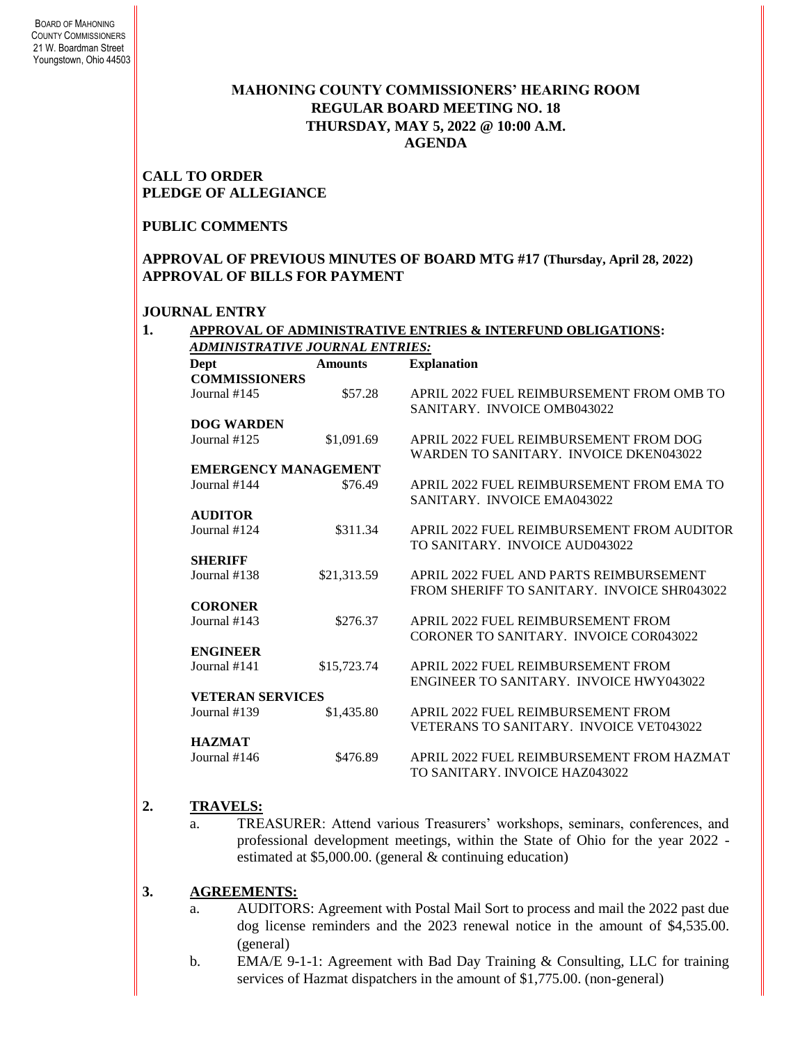# **MAHONING COUNTY COMMISSIONERS' HEARING ROOM REGULAR BOARD MEETING NO. 18 THURSDAY***,* **MAY 5, 2022 @ 10:00 A.M. AGENDA**

**CALL TO ORDER PLEDGE OF ALLEGIANCE**

## **PUBLIC COMMENTS**

## **APPROVAL OF PREVIOUS MINUTES OF BOARD MTG #17 (Thursday, April 28, 2022) APPROVAL OF BILLS FOR PAYMENT**

## **JOURNAL ENTRY**

| Dept                        | <b>Amounts</b> | <b>Explanation</b>                          |
|-----------------------------|----------------|---------------------------------------------|
| <b>COMMISSIONERS</b>        |                |                                             |
| Journal $#145$              | \$57.28        | APRIL 2022 FUEL REIMBURSEMENT FROM OMB TO   |
|                             |                | SANITARY. INVOICE OMB043022                 |
| <b>DOG WARDEN</b>           |                |                                             |
| Journal #125                | \$1,091.69     | APRIL 2022 FUEL REIMBURSEMENT FROM DOG      |
|                             |                | WARDEN TO SANITARY. INVOICE DKEN043022      |
| <b>EMERGENCY MANAGEMENT</b> |                |                                             |
| Journal #144                | \$76.49        | APRIL 2022 FUEL REIMBURSEMENT FROM EMA TO   |
|                             |                | SANITARY. INVOICE EMA043022                 |
| <b>AUDITOR</b>              |                |                                             |
| Journal #124                | \$311.34       | APRIL 2022 FUEL REIMBURSEMENT FROM AUDITOR  |
|                             |                | TO SANITARY. INVOICE AUD043022              |
| <b>SHERIFF</b>              |                |                                             |
| Journal #138                | \$21,313.59    | APRIL 2022 FUEL AND PARTS REIMBURSEMENT     |
|                             |                | FROM SHERIFF TO SANITARY. INVOICE SHR043022 |
| <b>CORONER</b>              |                |                                             |
| Journal #143                | \$276.37       | APRIL 2022 FUEL REIMBURSEMENT FROM          |
|                             |                | CORONER TO SANITARY. INVOICE COR043022      |
| <b>ENGINEER</b>             |                |                                             |
| Journal #141                | \$15,723.74    | APRIL 2022 FUEL REIMBURSEMENT FROM          |
|                             |                | ENGINEER TO SANITARY. INVOICE HWY043022     |
| <b>VETERAN SERVICES</b>     |                |                                             |
| Journal #139                | \$1,435.80     | APRIL 2022 FUEL REIMBURSEMENT FROM          |
|                             |                | VETERANS TO SANITARY. INVOICE VET043022     |
| <b>HAZMAT</b>               |                |                                             |
| Journal #146                | \$476.89       | APRIL 2022 FUEL REIMBURSEMENT FROM HAZMAT   |
|                             |                | TO SANITARY. INVOICE HAZ043022              |
|                             |                |                                             |

## **2. TRAVELS:**

a. TREASURER: Attend various Treasurers' workshops, seminars, conferences, and professional development meetings, within the State of Ohio for the year 2022 estimated at \$5,000.00. (general & continuing education)

# **3. AGREEMENTS:**

- a. AUDITORS: Agreement with Postal Mail Sort to process and mail the 2022 past due dog license reminders and the 2023 renewal notice in the amount of \$4,535.00. (general)
- b. EMA/E 9-1-1: Agreement with Bad Day Training & Consulting, LLC for training services of Hazmat dispatchers in the amount of \$1,775.00. (non-general)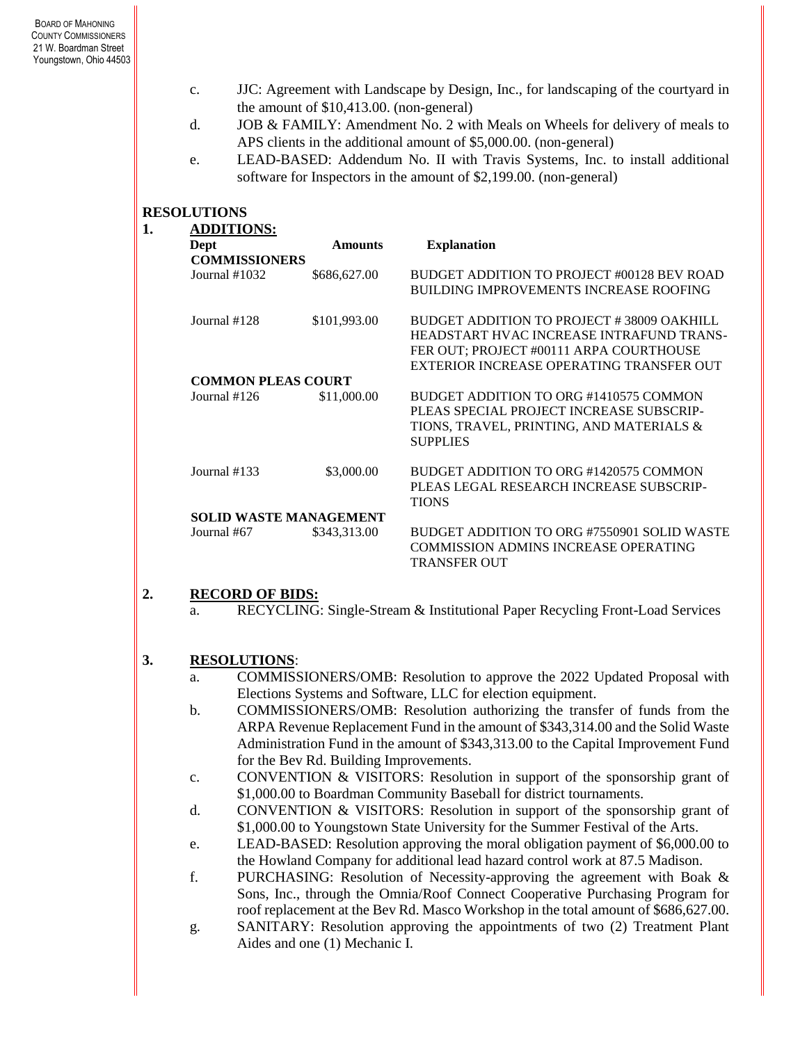- c. JJC: Agreement with Landscape by Design, Inc., for landscaping of the courtyard in the amount of \$10,413.00. (non-general)
- d. JOB & FAMILY: Amendment No. 2 with Meals on Wheels for delivery of meals to APS clients in the additional amount of \$5,000.00. (non-general)
- e. LEAD-BASED: Addendum No. II with Travis Systems, Inc. to install additional software for Inspectors in the amount of \$2,199.00. (non-general)

# **RESOLUTIONS**

| 1. | <b>ADDITIONS:</b>             |                |                                               |  |
|----|-------------------------------|----------------|-----------------------------------------------|--|
|    | Dept                          | <b>Amounts</b> | <b>Explanation</b>                            |  |
|    | <b>COMMISSIONERS</b>          |                |                                               |  |
|    | Journal $#1032$               | \$686,627.00   | BUDGET ADDITION TO PROJECT #00128 BEV ROAD    |  |
|    |                               |                | <b>BUILDING IMPROVEMENTS INCREASE ROOFING</b> |  |
|    | Journal #128                  | \$101,993.00   | BUDGET ADDITION TO PROJECT #38009 OAKHILL     |  |
|    |                               |                | HEADSTART HVAC INCREASE INTRAFUND TRANS-      |  |
|    |                               |                | FER OUT; PROJECT #00111 ARPA COURTHOUSE       |  |
|    |                               |                | EXTERIOR INCREASE OPERATING TRANSFER OUT      |  |
|    | <b>COMMON PLEAS COURT</b>     |                |                                               |  |
|    | Journal $#126$                | \$11,000.00    | BUDGET ADDITION TO ORG #1410575 COMMON        |  |
|    |                               |                | PLEAS SPECIAL PROJECT INCREASE SUBSCRIP-      |  |
|    |                               |                | TIONS, TRAVEL, PRINTING, AND MATERIALS &      |  |
|    |                               |                | <b>SUPPLIES</b>                               |  |
|    | Journal $#133$                | \$3,000.00     | BUDGET ADDITION TO ORG #1420575 COMMON        |  |
|    |                               |                | PLEAS LEGAL RESEARCH INCREASE SUBSCRIP-       |  |
|    |                               |                | <b>TIONS</b>                                  |  |
|    | <b>SOLID WASTE MANAGEMENT</b> |                |                                               |  |
|    | Journal #67                   | \$343,313.00   | BUDGET ADDITION TO ORG #7550901 SOLID WASTE   |  |
|    |                               |                | <b>COMMISSION ADMINS INCREASE OPERATING</b>   |  |
|    |                               |                | <b>TRANSFER OUT</b>                           |  |

## **2. RECORD OF BIDS:**

a. RECYCLING: Single-Stream & Institutional Paper Recycling Front-Load Services

# **3. RESOLUTIONS**:

- a. COMMISSIONERS/OMB: Resolution to approve the 2022 Updated Proposal with Elections Systems and Software, LLC for election equipment.
- b. COMMISSIONERS/OMB: Resolution authorizing the transfer of funds from the ARPA Revenue Replacement Fund in the amount of \$343,314.00 and the Solid Waste Administration Fund in the amount of \$343,313.00 to the Capital Improvement Fund for the Bev Rd. Building Improvements.
- c. CONVENTION & VISITORS: Resolution in support of the sponsorship grant of \$1,000.00 to Boardman Community Baseball for district tournaments.
- d. CONVENTION & VISITORS: Resolution in support of the sponsorship grant of \$1,000.00 to Youngstown State University for the Summer Festival of the Arts.
- e. LEAD-BASED: Resolution approving the moral obligation payment of \$6,000.00 to the Howland Company for additional lead hazard control work at 87.5 Madison.
- f. PURCHASING: Resolution of Necessity-approving the agreement with Boak & Sons, Inc., through the Omnia/Roof Connect Cooperative Purchasing Program for roof replacement at the Bev Rd. Masco Workshop in the total amount of \$686,627.00.
- g. SANITARY: Resolution approving the appointments of two (2) Treatment Plant Aides and one (1) Mechanic I.